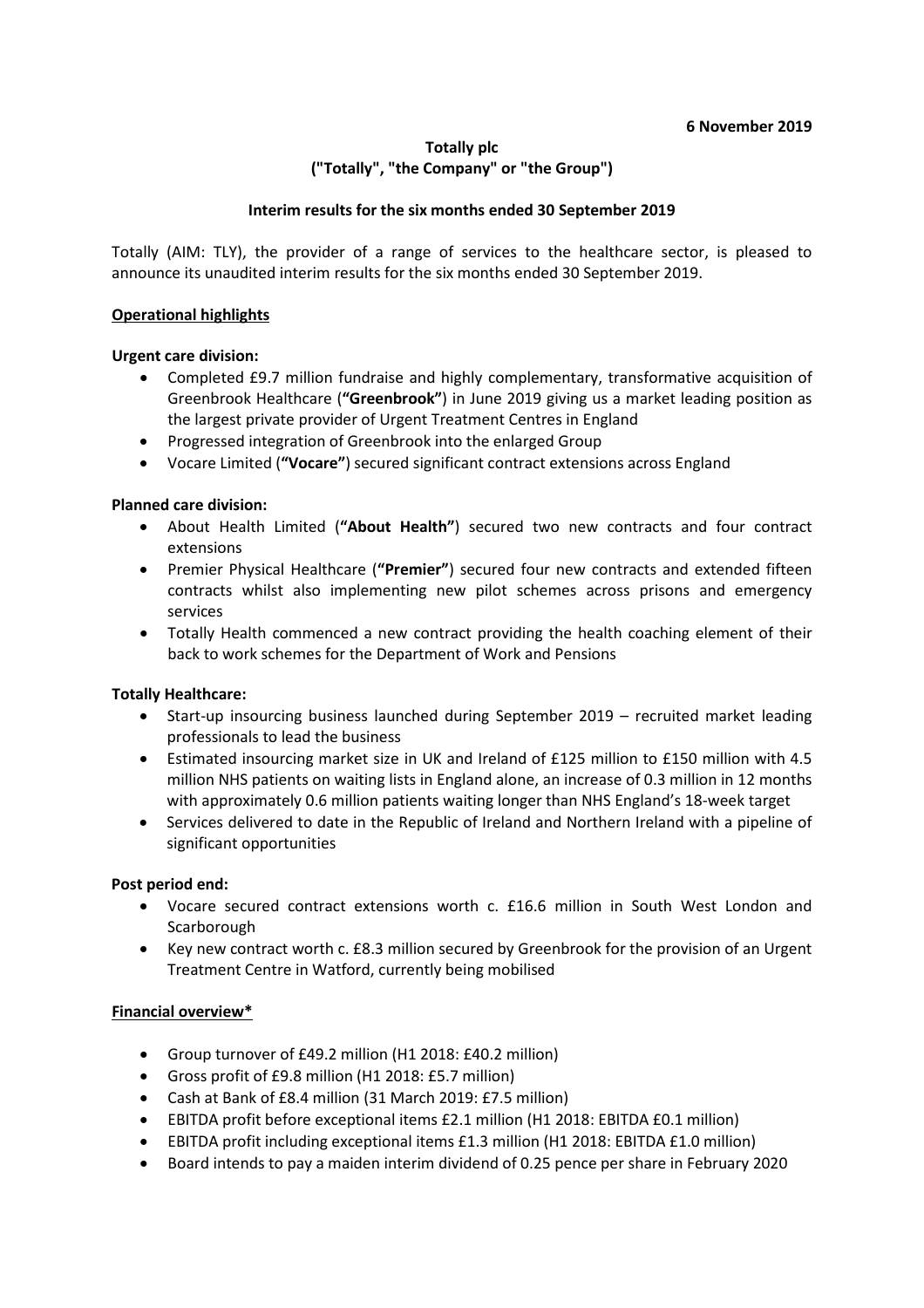#### **6 November 2019**

## **Totally plc ("Totally", "the Company" or "the Group")**

#### **Interim results for the six months ended 30 September 2019**

Totally (AIM: TLY), the provider of a range of services to the healthcare sector, is pleased to announce its unaudited interim results for the six months ended 30 September 2019.

#### **Operational highlights**

## **Urgent care division:**

- Completed £9.7 million fundraise and highly complementary, transformative acquisition of Greenbrook Healthcare (**"Greenbrook"**) in June 2019 giving us a market leading position as the largest private provider of Urgent Treatment Centres in England
- Progressed integration of Greenbrook into the enlarged Group
- Vocare Limited (**"Vocare"**) secured significant contract extensions across England

## **Planned care division:**

- About Health Limited (**"About Health"**) secured two new contracts and four contract extensions
- Premier Physical Healthcare (**"Premier"**) secured four new contracts and extended fifteen contracts whilst also implementing new pilot schemes across prisons and emergency services
- Totally Health commenced a new contract providing the health coaching element of their back to work schemes for the Department of Work and Pensions

#### **Totally Healthcare:**

- Start-up insourcing business launched during September 2019 recruited market leading professionals to lead the business
- Estimated insourcing market size in UK and Ireland of £125 million to £150 million with 4.5 million NHS patients on waiting lists in England alone, an increase of 0.3 million in 12 months with approximately 0.6 million patients waiting longer than NHS England's 18-week target
- Services delivered to date in the Republic of Ireland and Northern Ireland with a pipeline of significant opportunities

#### **Post period end:**

- Vocare secured contract extensions worth c. £16.6 million in South West London and **Scarborough**
- Key new contract worth c. £8.3 million secured by Greenbrook for the provision of an Urgent Treatment Centre in Watford, currently being mobilised

#### **Financial overview\***

- Group turnover of £49.2 million (H1 2018: £40.2 million)
- Gross profit of £9.8 million (H1 2018: £5.7 million)
- Cash at Bank of £8.4 million (31 March 2019: £7.5 million)
- EBITDA profit before exceptional items £2.1 million (H1 2018: EBITDA £0.1 million)
- EBITDA profit including exceptional items £1.3 million (H1 2018: EBITDA £1.0 million)
- Board intends to pay a maiden interim dividend of 0.25 pence per share in February 2020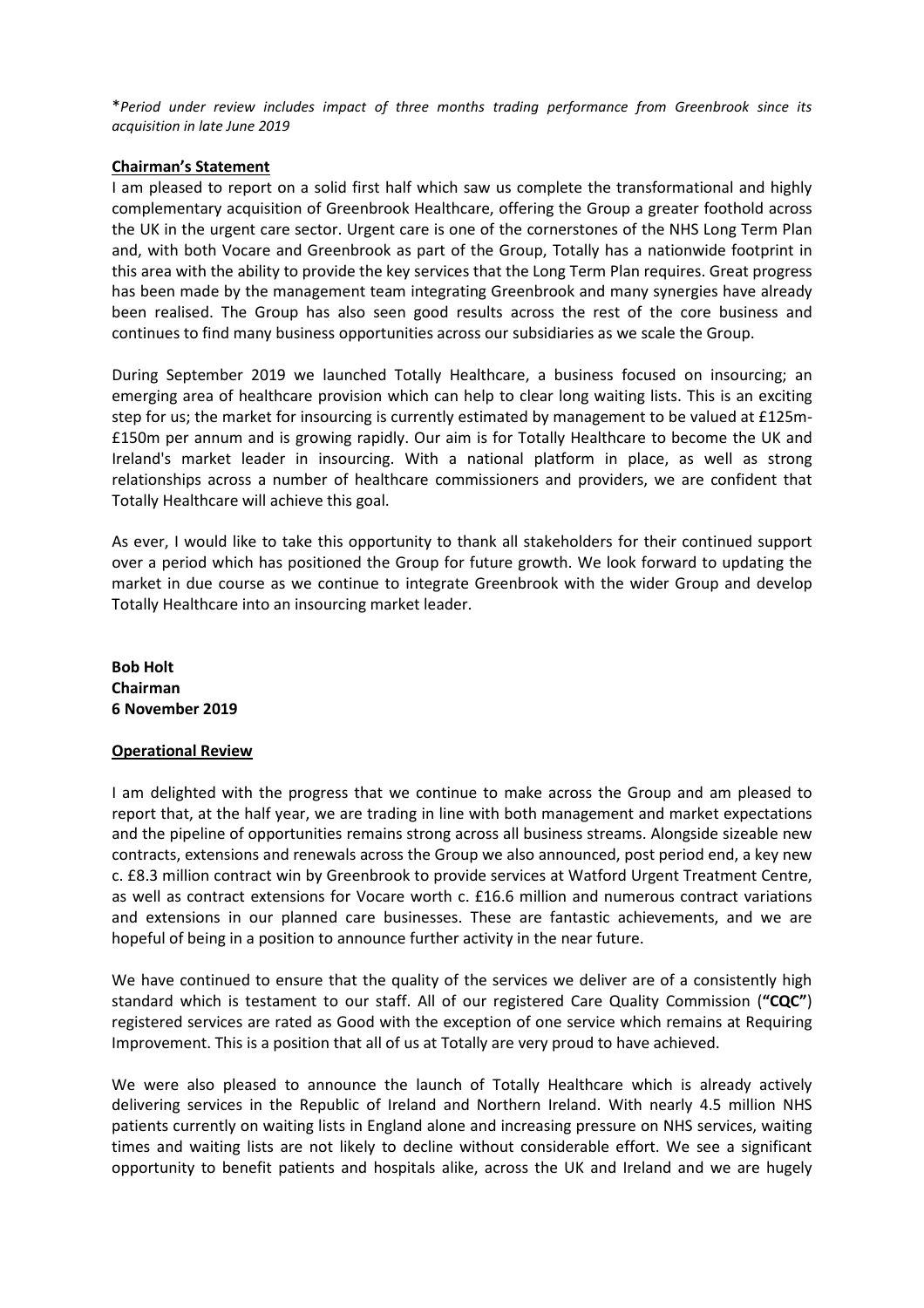\**Period under review includes impact of three months trading performance from Greenbrook since its acquisition in late June 2019*

#### **Chairman's Statement**

I am pleased to report on a solid first half which saw us complete the transformational and highly complementary acquisition of Greenbrook Healthcare, offering the Group a greater foothold across the UK in the urgent care sector. Urgent care is one of the cornerstones of the NHS Long Term Plan and, with both Vocare and Greenbrook as part of the Group, Totally has a nationwide footprint in this area with the ability to provide the key services that the Long Term Plan requires. Great progress has been made by the management team integrating Greenbrook and many synergies have already been realised. The Group has also seen good results across the rest of the core business and continues to find many business opportunities across our subsidiaries as we scale the Group.

During September 2019 we launched Totally Healthcare, a business focused on insourcing; an emerging area of healthcare provision which can help to clear long waiting lists. This is an exciting step for us; the market for insourcing is currently estimated by management to be valued at £125m- £150m per annum and is growing rapidly. Our aim is for Totally Healthcare to become the UK and Ireland's market leader in insourcing. With a national platform in place, as well as strong relationships across a number of healthcare commissioners and providers, we are confident that Totally Healthcare will achieve this goal.

As ever, I would like to take this opportunity to thank all stakeholders for their continued support over a period which has positioned the Group for future growth. We look forward to updating the market in due course as we continue to integrate Greenbrook with the wider Group and develop Totally Healthcare into an insourcing market leader.

**Bob Holt Chairman 6 November 2019**

#### **Operational Review**

I am delighted with the progress that we continue to make across the Group and am pleased to report that, at the half year, we are trading in line with both management and market expectations and the pipeline of opportunities remains strong across all business streams. Alongside sizeable new contracts, extensions and renewals across the Group we also announced, post period end, a key new c. £8.3 million contract win by Greenbrook to provide services at Watford Urgent Treatment Centre, as well as contract extensions for Vocare worth c. £16.6 million and numerous contract variations and extensions in our planned care businesses. These are fantastic achievements, and we are hopeful of being in a position to announce further activity in the near future.

We have continued to ensure that the quality of the services we deliver are of a consistently high standard which is testament to our staff. All of our registered Care Quality Commission (**"CQC"**) registered services are rated as Good with the exception of one service which remains at Requiring Improvement. This is a position that all of us at Totally are very proud to have achieved.

We were also pleased to announce the launch of Totally Healthcare which is already actively delivering services in the Republic of Ireland and Northern Ireland. With nearly 4.5 million NHS patients currently on waiting lists in England alone and increasing pressure on NHS services, waiting times and waiting lists are not likely to decline without considerable effort. We see a significant opportunity to benefit patients and hospitals alike, across the UK and Ireland and we are hugely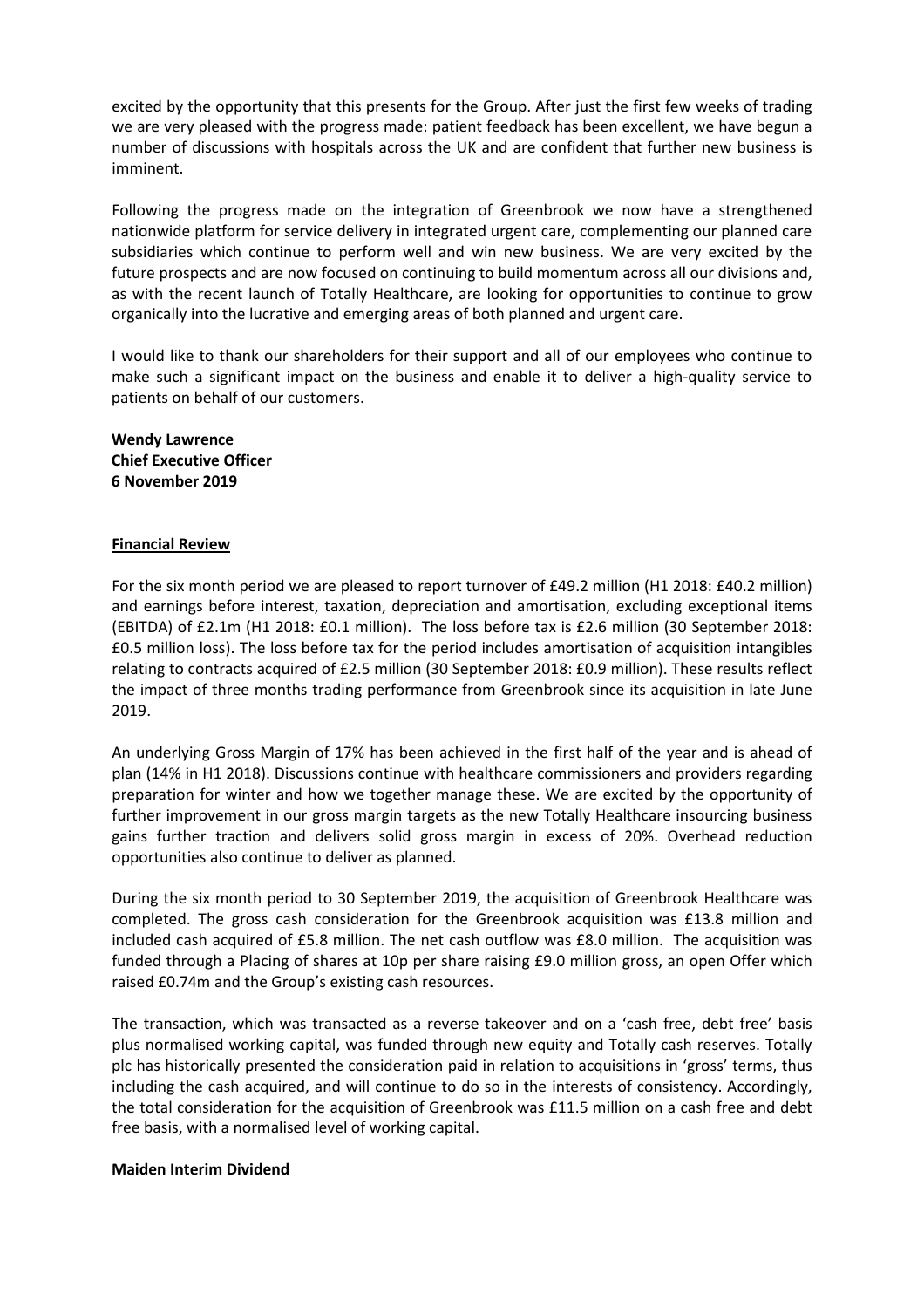excited by the opportunity that this presents for the Group. After just the first few weeks of trading we are very pleased with the progress made: patient feedback has been excellent, we have begun a number of discussions with hospitals across the UK and are confident that further new business is imminent.

Following the progress made on the integration of Greenbrook we now have a strengthened nationwide platform for service delivery in integrated urgent care, complementing our planned care subsidiaries which continue to perform well and win new business. We are very excited by the future prospects and are now focused on continuing to build momentum across all our divisions and, as with the recent launch of Totally Healthcare, are looking for opportunities to continue to grow organically into the lucrative and emerging areas of both planned and urgent care.

I would like to thank our shareholders for their support and all of our employees who continue to make such a significant impact on the business and enable it to deliver a high-quality service to patients on behalf of our customers.

**Wendy Lawrence Chief Executive Officer 6 November 2019**

#### **Financial Review**

For the six month period we are pleased to report turnover of £49.2 million (H1 2018: £40.2 million) and earnings before interest, taxation, depreciation and amortisation, excluding exceptional items (EBITDA) of £2.1m (H1 2018: £0.1 million). The loss before tax is £2.6 million (30 September 2018: £0.5 million loss). The loss before tax for the period includes amortisation of acquisition intangibles relating to contracts acquired of £2.5 million (30 September 2018: £0.9 million). These results reflect the impact of three months trading performance from Greenbrook since its acquisition in late June 2019.

An underlying Gross Margin of 17% has been achieved in the first half of the year and is ahead of plan (14% in H1 2018). Discussions continue with healthcare commissioners and providers regarding preparation for winter and how we together manage these. We are excited by the opportunity of further improvement in our gross margin targets as the new Totally Healthcare insourcing business gains further traction and delivers solid gross margin in excess of 20%. Overhead reduction opportunities also continue to deliver as planned.

During the six month period to 30 September 2019, the acquisition of Greenbrook Healthcare was completed. The gross cash consideration for the Greenbrook acquisition was £13.8 million and included cash acquired of £5.8 million. The net cash outflow was £8.0 million. The acquisition was funded through a Placing of shares at 10p per share raising £9.0 million gross, an open Offer which raised £0.74m and the Group's existing cash resources.

The transaction, which was transacted as a reverse takeover and on a 'cash free, debt free' basis plus normalised working capital, was funded through new equity and Totally cash reserves. Totally plc has historically presented the consideration paid in relation to acquisitions in 'gross' terms, thus including the cash acquired, and will continue to do so in the interests of consistency. Accordingly, the total consideration for the acquisition of Greenbrook was £11.5 million on a cash free and debt free basis, with a normalised level of working capital.

#### **Maiden Interim Dividend**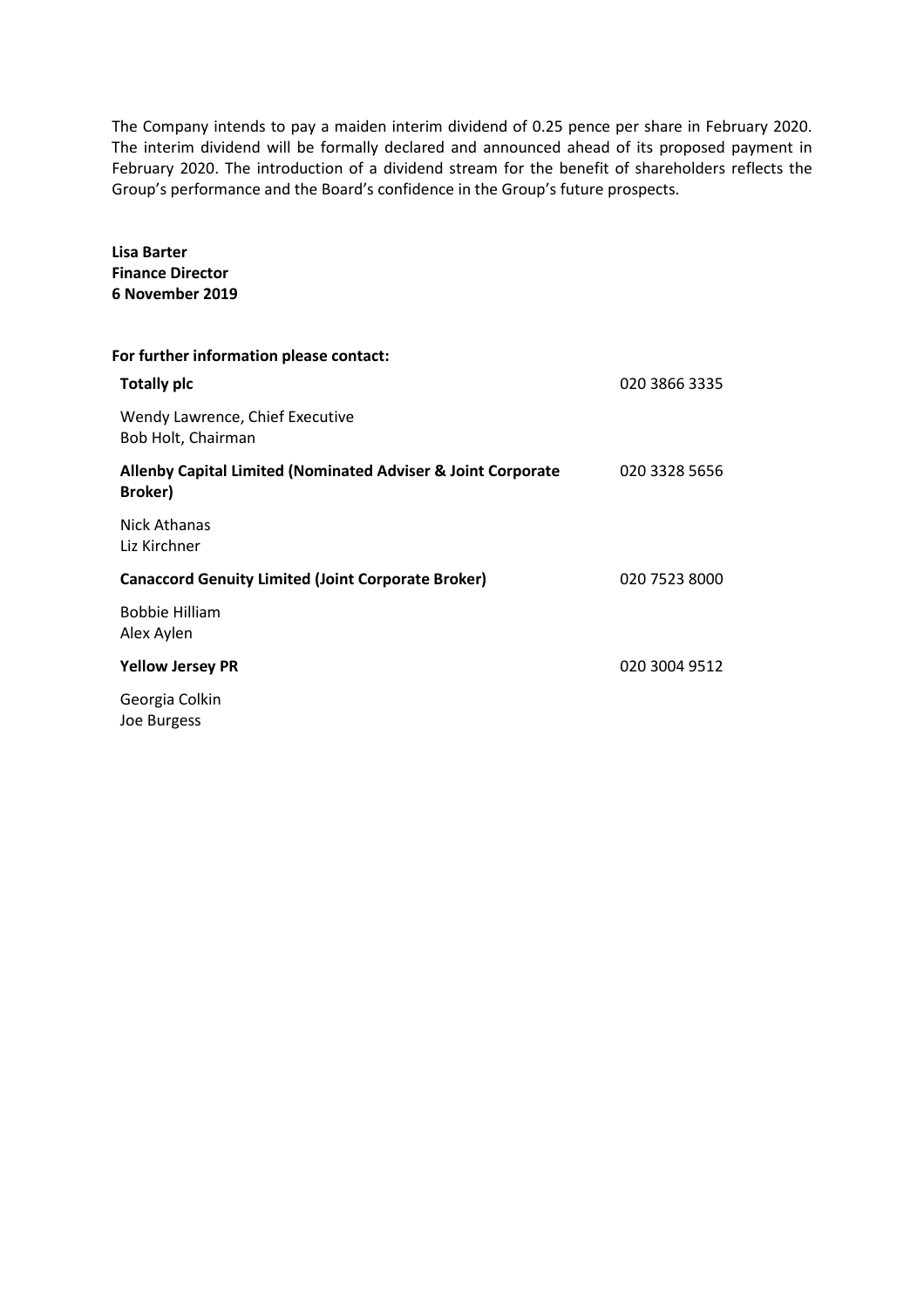The Company intends to pay a maiden interim dividend of 0.25 pence per share in February 2020. The interim dividend will be formally declared and announced ahead of its proposed payment in February 2020. The introduction of a dividend stream for the benefit of shareholders reflects the Group's performance and the Board's confidence in the Group's future prospects.

**Lisa Barter Finance Director 6 November 2019 For further information please contact: Totally plc** 020 3866 3335 Wendy Lawrence, Chief Executive Bob Holt, Chairman **Allenby Capital Limited (Nominated Adviser & Joint Corporate Broker)** 020 3328 5656 Nick Athanas Liz Kirchner **Canaccord Genuity Limited (Joint Corporate Broker)** 020 7523 8000 Bobbie Hilliam Alex Aylen **Yellow Jersey PR** 020 3004 9512 Georgia Colkin Joe Burgess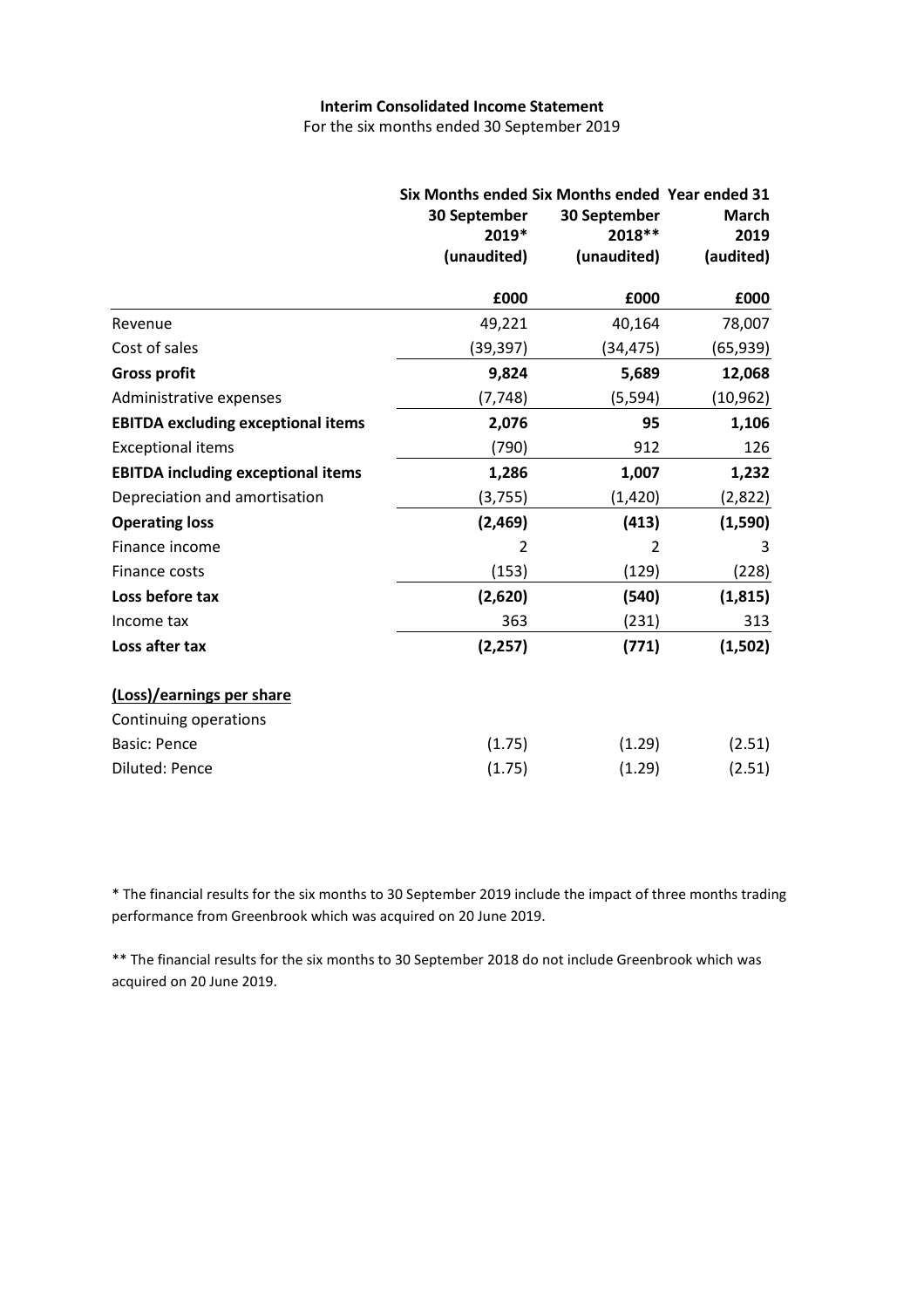## **Interim Consolidated Income Statement**

For the six months ended 30 September 2019

|                                           | Six Months ended Six Months ended Year ended 31<br>30 September<br>30 September<br>2018 **<br>2019*<br>(unaudited)<br>(unaudited) |          | March<br>2019<br>(audited) |  |
|-------------------------------------------|-----------------------------------------------------------------------------------------------------------------------------------|----------|----------------------------|--|
|                                           | £000                                                                                                                              | £000     | £000                       |  |
| Revenue                                   | 49,221                                                                                                                            | 40,164   | 78,007                     |  |
| Cost of sales                             | (39,397)                                                                                                                          | (34,475) | (65,939)                   |  |
| <b>Gross profit</b>                       | 9,824                                                                                                                             | 5,689    | 12,068                     |  |
| Administrative expenses                   | (7, 748)                                                                                                                          | (5, 594) | (10, 962)                  |  |
| <b>EBITDA excluding exceptional items</b> | 2,076                                                                                                                             | 95       | 1,106                      |  |
| <b>Exceptional items</b>                  | (790)                                                                                                                             | 912      | 126                        |  |
| <b>EBITDA including exceptional items</b> | 1,286                                                                                                                             | 1,007    | 1,232                      |  |
| Depreciation and amortisation             | (3,755)                                                                                                                           | (1, 420) | (2,822)                    |  |
| <b>Operating loss</b>                     | (2,469)                                                                                                                           | (413)    | (1,590)                    |  |
| Finance income                            | 2                                                                                                                                 | 2        | 3                          |  |
| Finance costs                             | (153)                                                                                                                             | (129)    | (228)                      |  |
| Loss before tax                           | (2,620)                                                                                                                           | (540)    | (1, 815)                   |  |
| Income tax                                | 363                                                                                                                               | (231)    | 313                        |  |
| Loss after tax                            | (2, 257)                                                                                                                          | (771)    | (1,502)                    |  |
| (Loss)/earnings per share                 |                                                                                                                                   |          |                            |  |
| Continuing operations                     |                                                                                                                                   |          |                            |  |
| <b>Basic: Pence</b>                       | (1.75)                                                                                                                            | (1.29)   | (2.51)                     |  |
| <b>Diluted: Pence</b>                     | (1.75)                                                                                                                            | (1.29)   | (2.51)                     |  |

\* The financial results for the six months to 30 September 2019 include the impact of three months trading performance from Greenbrook which was acquired on 20 June 2019.

\*\* The financial results for the six months to 30 September 2018 do not include Greenbrook which was acquired on 20 June 2019.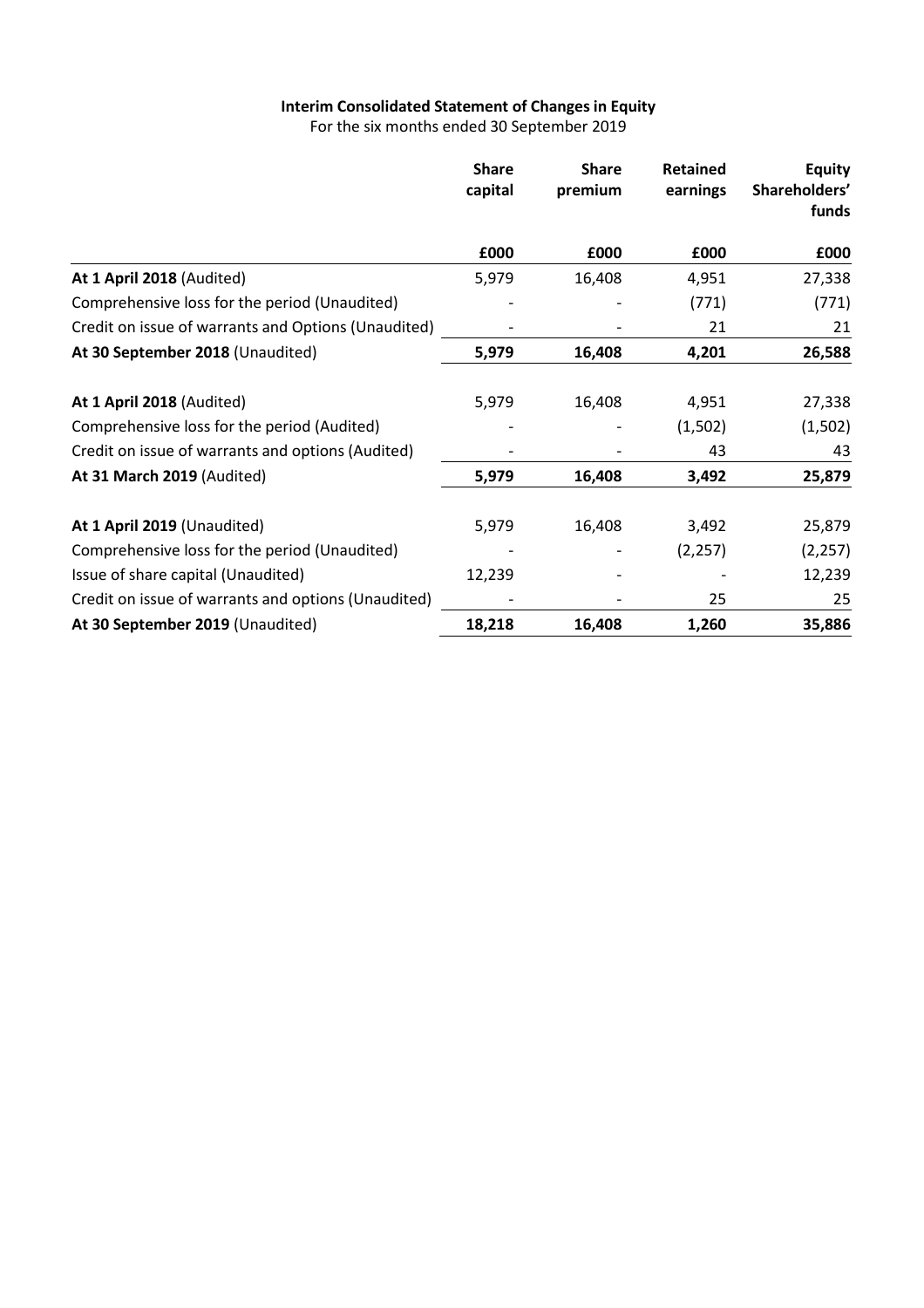# **Interim Consolidated Statement of Changesin Equity**

For the six months ended 30 September 2019

|                                                     | <b>Share</b><br>capital | <b>Share</b><br>premium | <b>Retained</b><br>earnings | <b>Equity</b><br>Shareholders'<br>funds |
|-----------------------------------------------------|-------------------------|-------------------------|-----------------------------|-----------------------------------------|
|                                                     | £000                    | £000                    | £000                        | £000                                    |
| At 1 April 2018 (Audited)                           | 5,979                   | 16,408                  | 4,951                       | 27,338                                  |
| Comprehensive loss for the period (Unaudited)       |                         |                         | (771)                       | (771)                                   |
| Credit on issue of warrants and Options (Unaudited) |                         |                         | 21                          | 21                                      |
| At 30 September 2018 (Unaudited)                    | 5,979                   | 16,408                  | 4,201                       | 26,588                                  |
| At 1 April 2018 (Audited)                           | 5,979                   | 16,408                  | 4,951                       | 27,338                                  |
| Comprehensive loss for the period (Audited)         |                         |                         | (1,502)                     | (1,502)                                 |
| Credit on issue of warrants and options (Audited)   |                         |                         | 43                          | 43                                      |
| At 31 March 2019 (Audited)                          | 5,979                   | 16,408                  | 3,492                       | 25,879                                  |
| At 1 April 2019 (Unaudited)                         | 5,979                   | 16,408                  | 3,492                       | 25,879                                  |
| Comprehensive loss for the period (Unaudited)       |                         |                         | (2, 257)                    | (2, 257)                                |
| Issue of share capital (Unaudited)                  | 12,239                  |                         |                             | 12,239                                  |
| Credit on issue of warrants and options (Unaudited) |                         |                         | 25                          | 25                                      |
| At 30 September 2019 (Unaudited)                    | 18,218                  | 16,408                  | 1,260                       | 35,886                                  |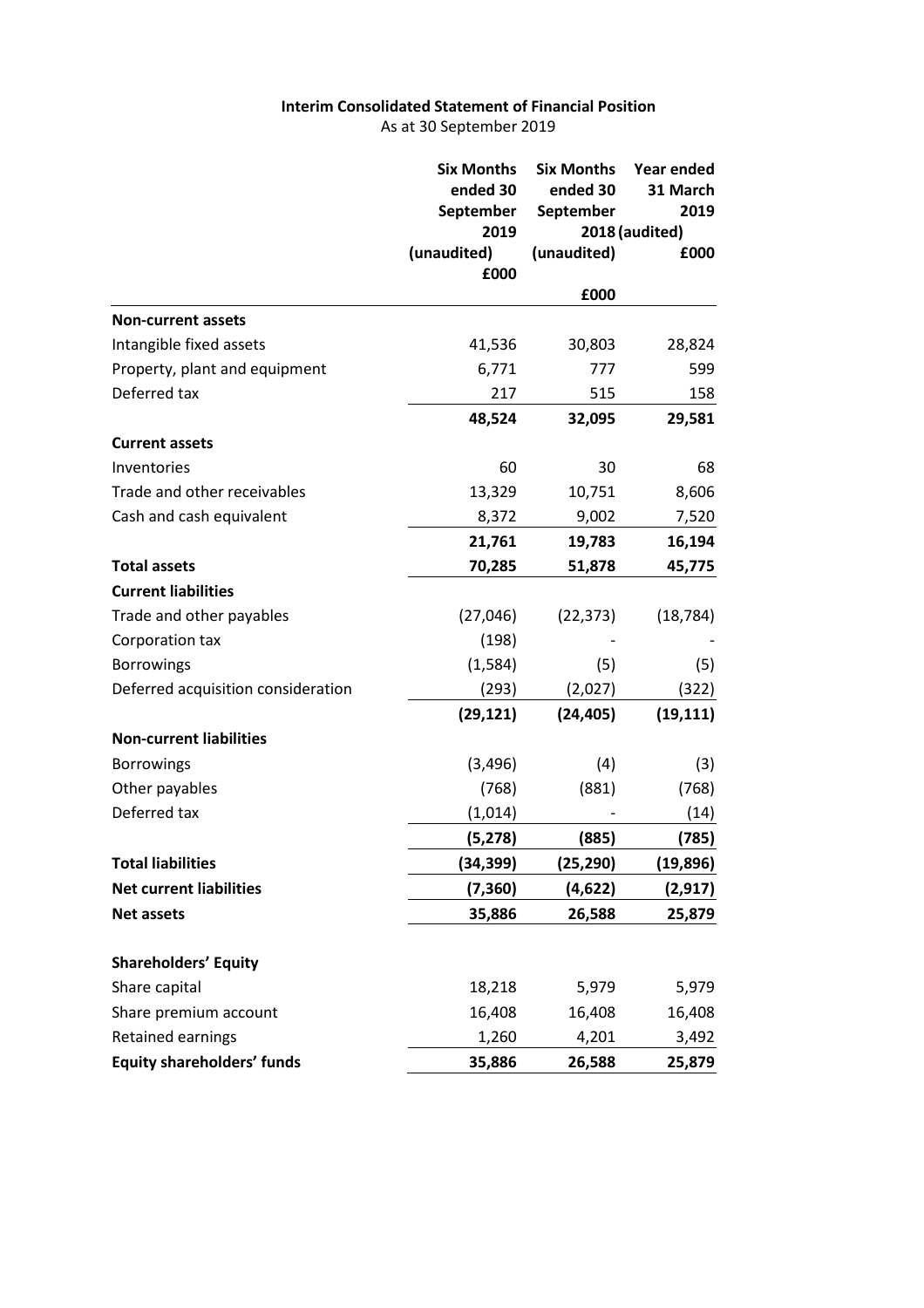## **Interim Consolidated Statement of Financial Position** As at 30 September 2019

|                                    | <b>Six Months</b> | <b>Six Months</b> | Year ended             |
|------------------------------------|-------------------|-------------------|------------------------|
|                                    | ended 30          | ended 30          | 31 March               |
|                                    | September<br>2019 | September         | 2019<br>2018 (audited) |
|                                    | (unaudited)       | (unaudited)       | £000                   |
|                                    | £000              |                   |                        |
|                                    |                   | £000              |                        |
| <b>Non-current assets</b>          |                   |                   |                        |
| Intangible fixed assets            | 41,536            | 30,803            | 28,824                 |
| Property, plant and equipment      | 6,771             | 777               | 599                    |
| Deferred tax                       | 217               | 515               | 158                    |
|                                    | 48,524            | 32,095            | 29,581                 |
| <b>Current assets</b>              |                   |                   |                        |
| Inventories                        | 60                | 30                | 68                     |
| Trade and other receivables        | 13,329            | 10,751            | 8,606                  |
| Cash and cash equivalent           | 8,372             | 9,002             | 7,520                  |
|                                    | 21,761            | 19,783            | 16,194                 |
| <b>Total assets</b>                | 70,285            | 51,878            | 45,775                 |
| <b>Current liabilities</b>         |                   |                   |                        |
| Trade and other payables           | (27,046)          | (22, 373)         | (18, 784)              |
| Corporation tax                    | (198)             |                   |                        |
| <b>Borrowings</b>                  | (1,584)           | (5)               | (5)                    |
| Deferred acquisition consideration | (293)             | (2,027)           | (322)                  |
|                                    | (29, 121)         | (24, 405)         | (19, 111)              |
| <b>Non-current liabilities</b>     |                   |                   |                        |
| <b>Borrowings</b>                  | (3, 496)          | (4)               | (3)                    |
| Other payables                     | (768)             | (881)             | (768)                  |
| Deferred tax                       | (1,014)           |                   | (14)                   |
|                                    | (5, 278)          | (885)             | (785)                  |
| <b>Total liabilities</b>           | (34,399)          | (25, 290)         | (19, 896)              |
| <b>Net current liabilities</b>     | (7, 360)          | (4, 622)          | (2, 917)               |
| <b>Net assets</b>                  | 35,886            | 26,588            | 25,879                 |
| <b>Shareholders' Equity</b>        |                   |                   |                        |
| Share capital                      | 18,218            | 5,979             | 5,979                  |
| Share premium account              | 16,408            | 16,408            | 16,408                 |
| <b>Retained earnings</b>           | 1,260             | 4,201             | 3,492                  |
| <b>Equity shareholders' funds</b>  | 35,886            | 26,588            | 25,879                 |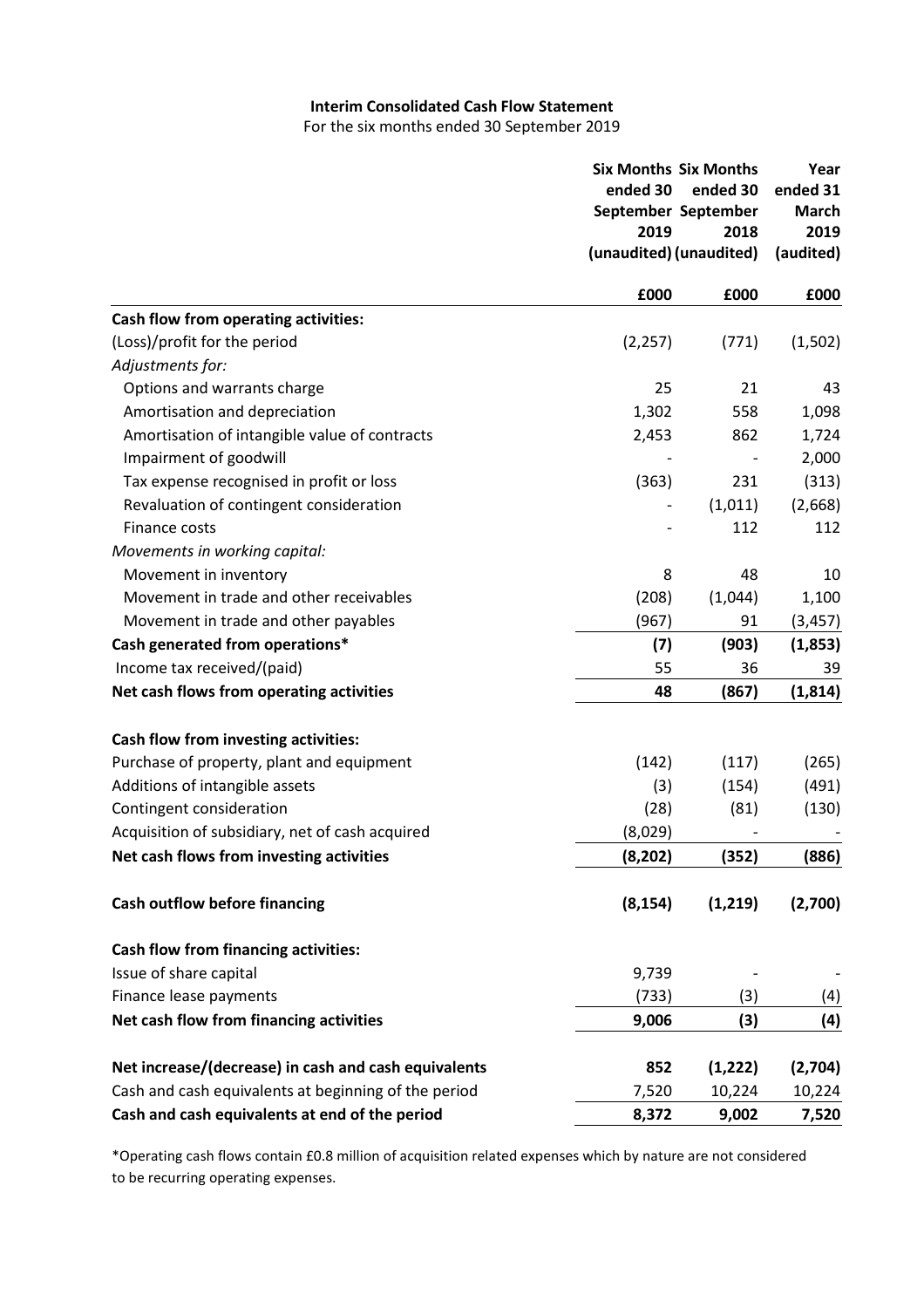# **Interim Consolidated Cash Flow Statement**

For the six months ended 30 September 2019

|                                                      | <b>Six Months Six Months</b><br>ended 30 | ended 30                | Year<br>ended 31  |  |
|------------------------------------------------------|------------------------------------------|-------------------------|-------------------|--|
|                                                      |                                          | September September     | <b>March</b>      |  |
|                                                      | 2019                                     | 2018                    | 2019<br>(audited) |  |
|                                                      |                                          | (unaudited) (unaudited) |                   |  |
|                                                      | £000                                     | £000                    | £000              |  |
| Cash flow from operating activities:                 |                                          |                         |                   |  |
| (Loss)/profit for the period                         | (2, 257)                                 | (771)                   | (1,502)           |  |
| Adjustments for:                                     |                                          |                         |                   |  |
| Options and warrants charge                          | 25                                       | 21                      | 43                |  |
| Amortisation and depreciation                        | 1,302                                    | 558                     | 1,098             |  |
| Amortisation of intangible value of contracts        | 2,453                                    | 862                     | 1,724             |  |
| Impairment of goodwill                               |                                          |                         | 2,000             |  |
| Tax expense recognised in profit or loss             | (363)                                    | 231                     | (313)             |  |
| Revaluation of contingent consideration              |                                          | (1,011)                 | (2,668)           |  |
| Finance costs                                        |                                          | 112                     | 112               |  |
| Movements in working capital:                        |                                          |                         |                   |  |
| Movement in inventory                                | 8                                        | 48                      | 10                |  |
| Movement in trade and other receivables              | (208)                                    | (1,044)                 | 1,100             |  |
| Movement in trade and other payables                 | (967)                                    | 91                      | (3, 457)          |  |
| Cash generated from operations*                      | (7)                                      | (903)                   | (1,853)           |  |
| Income tax received/(paid)                           | 55                                       | 36                      | 39                |  |
| Net cash flows from operating activities             | 48                                       | (867)                   | (1, 814)          |  |
| Cash flow from investing activities:                 |                                          |                         |                   |  |
| Purchase of property, plant and equipment            | (142)                                    | (117)                   | (265)             |  |
| Additions of intangible assets                       | (3)                                      | (154)                   | (491)             |  |
| Contingent consideration                             | (28)                                     | (81)                    | (130)             |  |
| Acquisition of subsidiary, net of cash acquired      | (8,029)                                  |                         |                   |  |
| Net cash flows from investing activities             | (8, 202)                                 | (352)                   | (886)             |  |
|                                                      |                                          |                         |                   |  |
| <b>Cash outflow before financing</b>                 | (8, 154)                                 | (1, 219)                | (2,700)           |  |
| Cash flow from financing activities:                 |                                          |                         |                   |  |
| Issue of share capital                               | 9,739                                    |                         |                   |  |
| Finance lease payments                               | (733)                                    | (3)                     | (4)               |  |
| Net cash flow from financing activities              | 9,006                                    | (3)                     | (4)               |  |
|                                                      |                                          |                         |                   |  |
| Net increase/(decrease) in cash and cash equivalents | 852                                      | (1, 222)                | (2,704)           |  |
| Cash and cash equivalents at beginning of the period | 7,520                                    | 10,224                  | 10,224            |  |
| Cash and cash equivalents at end of the period       | 8,372                                    | 9,002                   | 7,520             |  |

\*Operating cash flows contain £0.8 million of acquisition related expenses which by nature are not considered to be recurring operating expenses.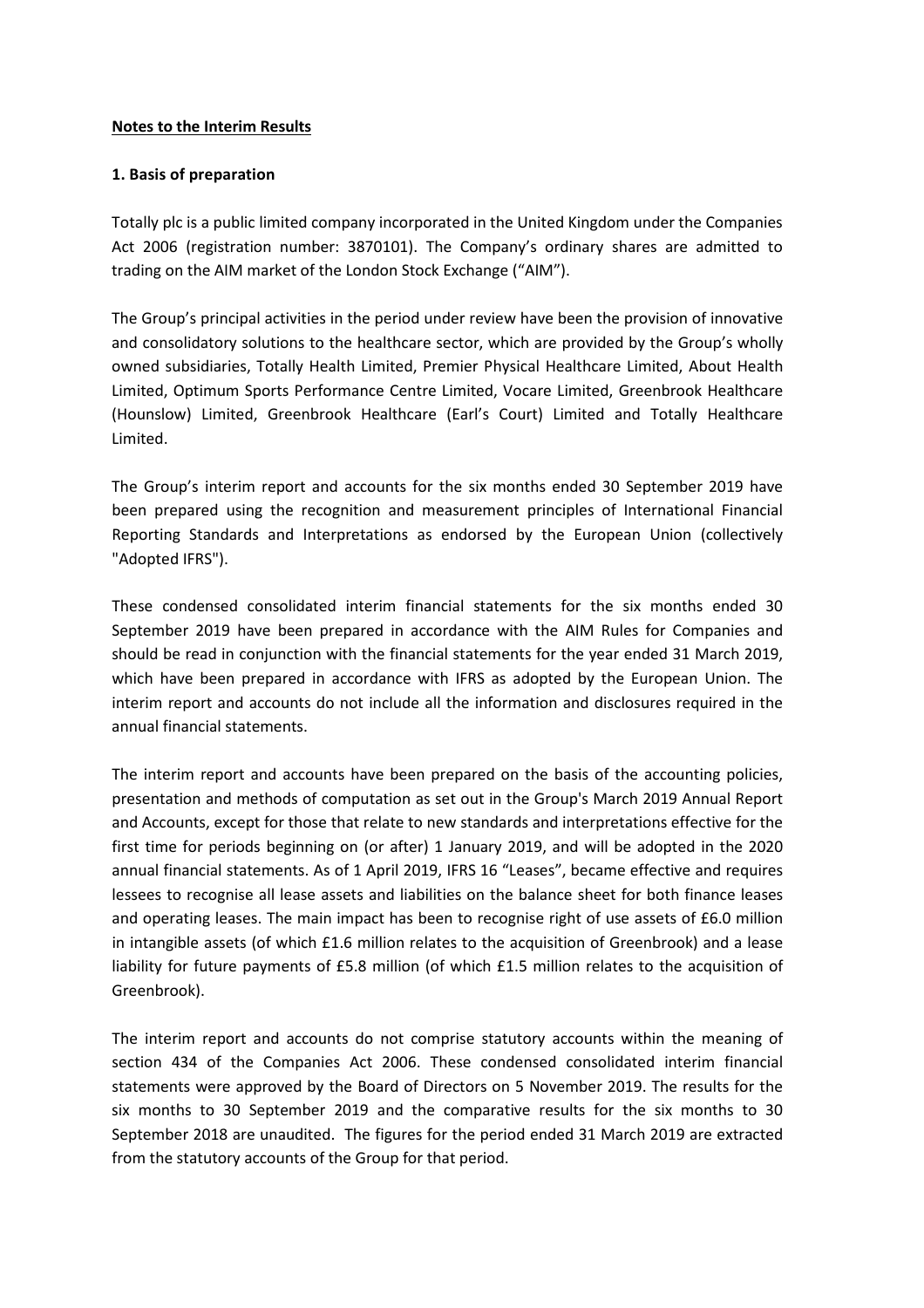## **Notes to the Interim Results**

## **1. Basis of preparation**

Totally plc is a public limited company incorporated in the United Kingdom under the Companies Act 2006 (registration number: 3870101). The Company's ordinary shares are admitted to trading on the AIM market of the London Stock Exchange ("AIM").

The Group's principal activities in the period under review have been the provision of innovative and consolidatory solutions to the healthcare sector, which are provided by the Group's wholly owned subsidiaries, Totally Health Limited, Premier Physical Healthcare Limited, About Health Limited, Optimum Sports Performance Centre Limited, Vocare Limited, Greenbrook Healthcare (Hounslow) Limited, Greenbrook Healthcare (Earl's Court) Limited and Totally Healthcare Limited.

The Group's interim report and accounts for the six months ended 30 September 2019 have been prepared using the recognition and measurement principles of International Financial Reporting Standards and Interpretations as endorsed by the European Union (collectively "Adopted IFRS").

These condensed consolidated interim financial statements for the six months ended 30 September 2019 have been prepared in accordance with the AIM Rules for Companies and should be read in conjunction with the financial statements for the year ended 31 March 2019, which have been prepared in accordance with IFRS as adopted by the European Union. The interim report and accounts do not include all the information and disclosures required in the annual financial statements.

The interim report and accounts have been prepared on the basis of the accounting policies, presentation and methods of computation as set out in the Group's March 2019 Annual Report and Accounts, except for those that relate to new standards and interpretations effective for the first time for periods beginning on (or after) 1 January 2019, and will be adopted in the 2020 annual financial statements. As of 1 April 2019, IFRS 16 "Leases", became effective and requires lessees to recognise all lease assets and liabilities on the balance sheet for both finance leases and operating leases. The main impact has been to recognise right of use assets of £6.0 million in intangible assets (of which £1.6 million relates to the acquisition of Greenbrook) and a lease liability for future payments of £5.8 million (of which £1.5 million relates to the acquisition of Greenbrook).

The interim report and accounts do not comprise statutory accounts within the meaning of section 434 of the Companies Act 2006. These condensed consolidated interim financial statements were approved by the Board of Directors on 5 November 2019. The results for the six months to 30 September 2019 and the comparative results for the six months to 30 September 2018 are unaudited. The figures for the period ended 31 March 2019 are extracted from the statutory accounts of the Group for that period.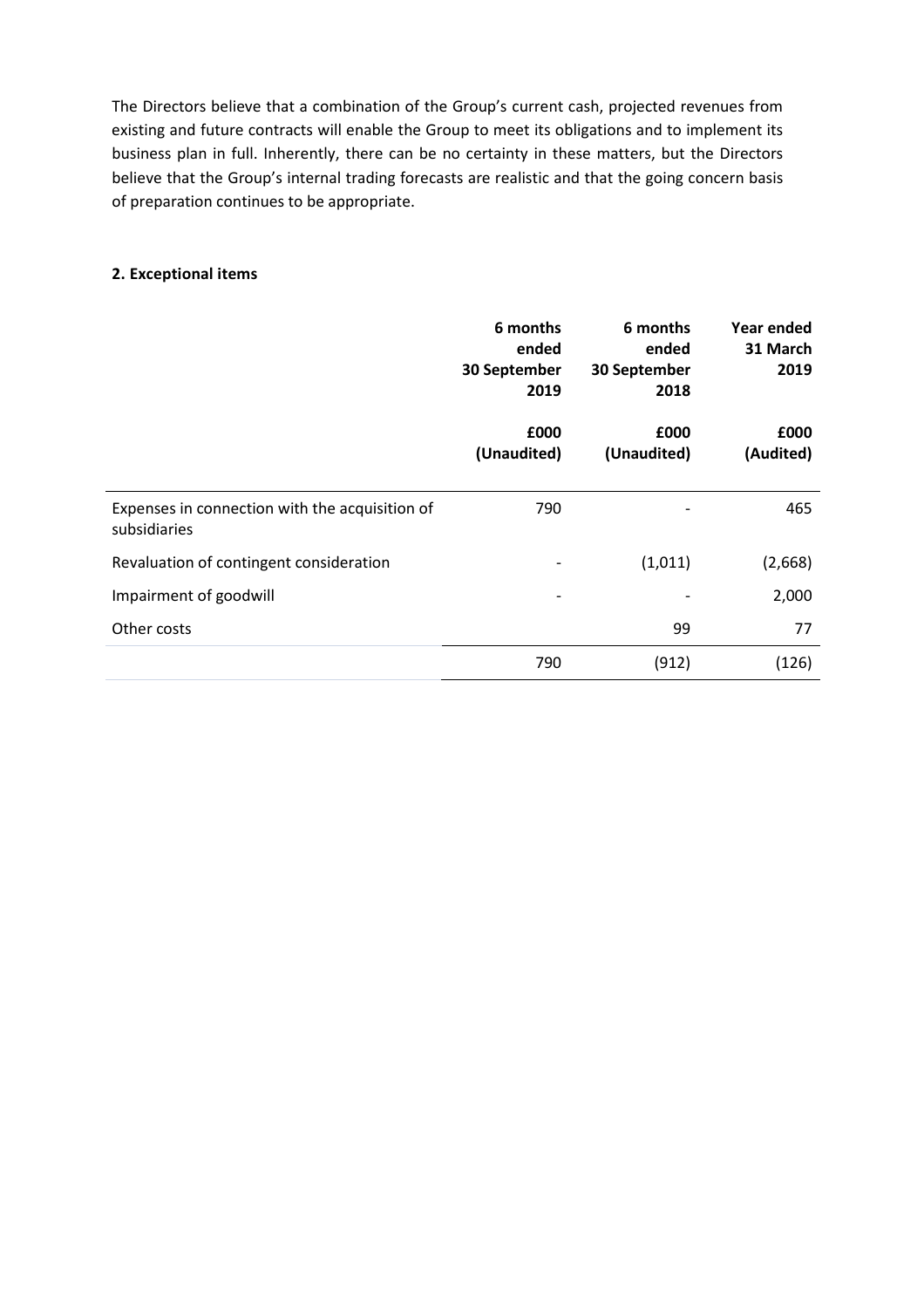The Directors believe that a combination of the Group's current cash, projected revenues from existing and future contracts will enable the Group to meet its obligations and to implement its business plan in full. Inherently, there can be no certainty in these matters, but the Directors believe that the Group's internal trading forecasts are realistic and that the going concern basis of preparation continues to be appropriate.

## **2. Exceptional items**

|                                                                | 6 months<br>ended<br>30 September<br>2019 | 6 months<br>ended<br>30 September<br>2018 | Year ended<br>31 March<br>2019 |
|----------------------------------------------------------------|-------------------------------------------|-------------------------------------------|--------------------------------|
|                                                                | £000<br>(Unaudited)                       | £000<br>(Unaudited)                       | £000<br>(Audited)              |
| Expenses in connection with the acquisition of<br>subsidiaries | 790                                       |                                           | 465                            |
| Revaluation of contingent consideration                        | $\overline{\phantom{a}}$                  | (1,011)                                   | (2,668)                        |
| Impairment of goodwill                                         | $\overline{\phantom{a}}$                  |                                           | 2,000                          |
| Other costs                                                    |                                           | 99                                        | 77                             |
|                                                                | 790                                       | (912)                                     | (126)                          |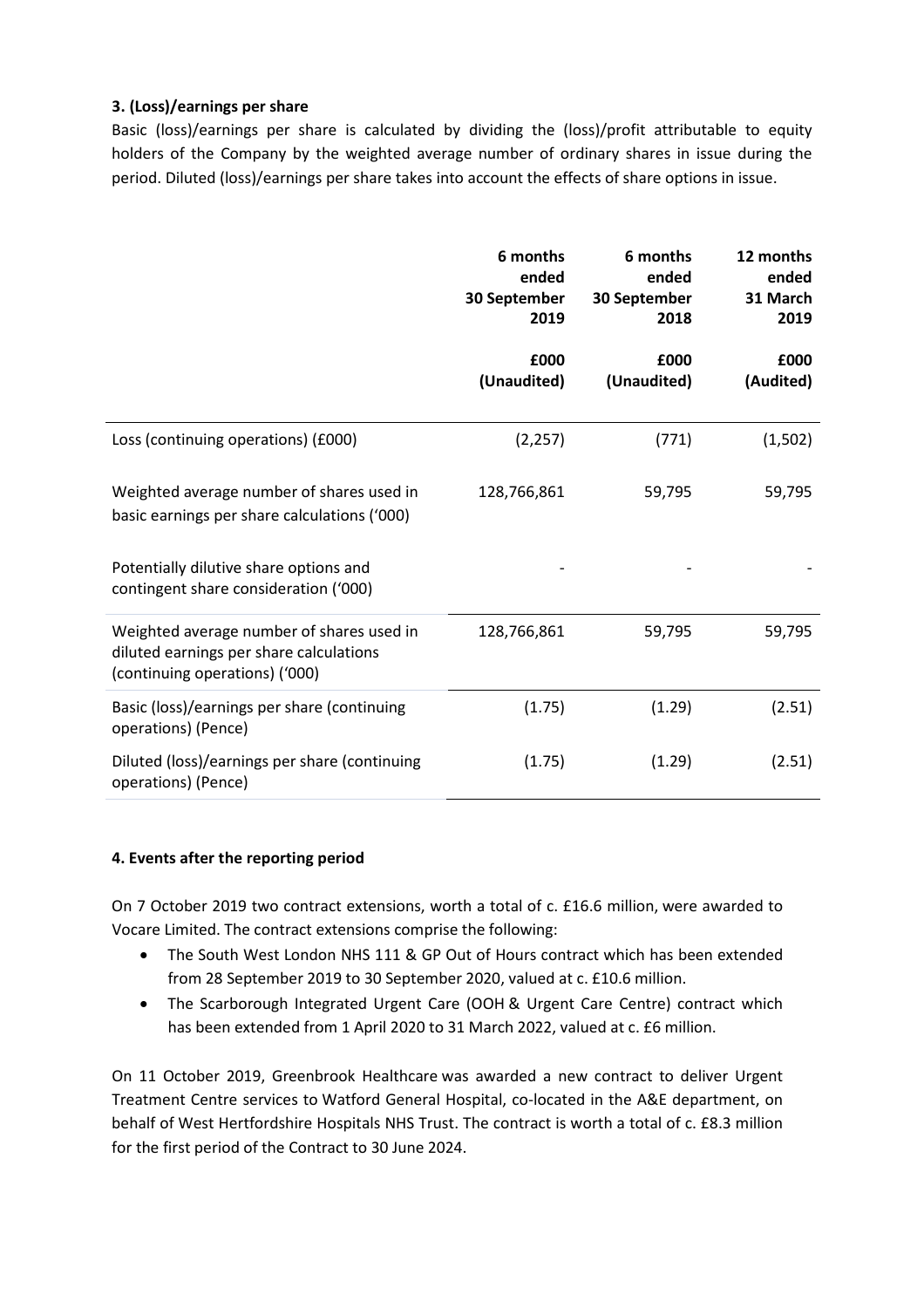# **3. (Loss)/earnings per share**

Basic (loss)/earnings per share is calculated by dividing the (loss)/profit attributable to equity holders of the Company by the weighted average number of ordinary shares in issue during the period. Diluted (loss)/earnings per share takes into account the effects of share options in issue.

|                                                                                                                        | 6 months<br>ended<br>30 September<br>2019 | 6 months<br>ended<br>30 September<br>2018 | 12 months<br>ended<br>31 March<br>2019 |
|------------------------------------------------------------------------------------------------------------------------|-------------------------------------------|-------------------------------------------|----------------------------------------|
|                                                                                                                        | £000<br>(Unaudited)                       | £000<br>(Unaudited)                       | £000<br>(Audited)                      |
| Loss (continuing operations) (£000)                                                                                    | (2, 257)                                  | (771)                                     | (1,502)                                |
| Weighted average number of shares used in<br>basic earnings per share calculations ('000)                              | 128,766,861                               | 59,795                                    | 59,795                                 |
| Potentially dilutive share options and<br>contingent share consideration ('000)                                        |                                           |                                           |                                        |
| Weighted average number of shares used in<br>diluted earnings per share calculations<br>(continuing operations) ('000) | 128,766,861                               | 59,795                                    | 59,795                                 |
| Basic (loss)/earnings per share (continuing<br>operations) (Pence)                                                     | (1.75)                                    | (1.29)                                    | (2.51)                                 |
| Diluted (loss)/earnings per share (continuing<br>operations) (Pence)                                                   | (1.75)                                    | (1.29)                                    | (2.51)                                 |

## **4. Events after the reporting period**

On 7 October 2019 two contract extensions, worth a total of c. £16.6 million, were awarded to Vocare Limited. The contract extensions comprise the following:

- The South West London NHS 111 & GP Out of Hours contract which has been extended from 28 September 2019 to 30 September 2020, valued at c. £10.6 million.
- The Scarborough Integrated Urgent Care (OOH & Urgent Care Centre) contract which has been extended from 1 April 2020 to 31 March 2022, valued at c. £6 million.

On 11 October 2019, Greenbrook Healthcare was awarded a new contract to deliver Urgent Treatment Centre services to Watford General Hospital, co-located in the A&E department, on behalf of West Hertfordshire Hospitals NHS Trust. The contract is worth a total of c. £8.3 million for the first period of the Contract to 30 June 2024.